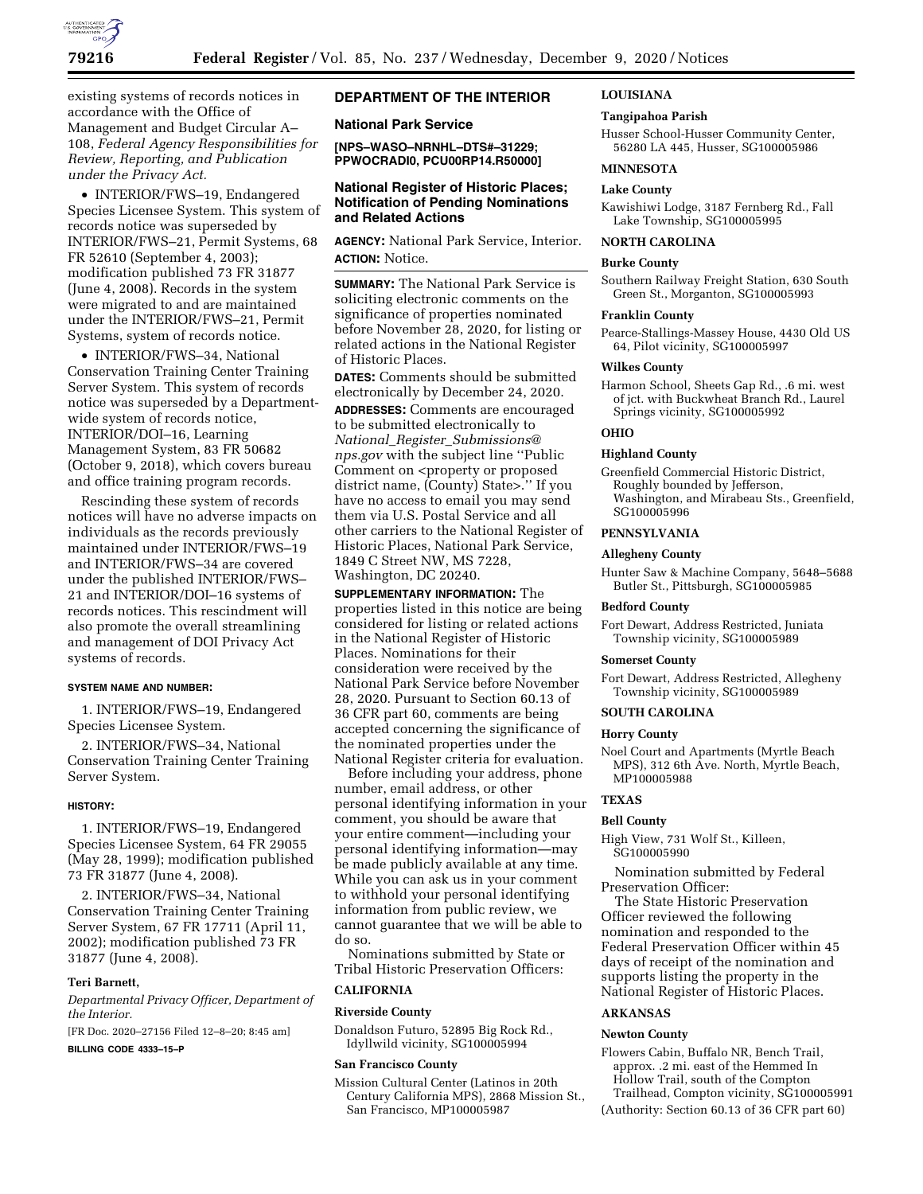

existing systems of records notices in accordance with the Office of Management and Budget Circular A– 108, *Federal Agency Responsibilities for Review, Reporting, and Publication under the Privacy Act.* 

• INTERIOR/FWS–19, Endangered Species Licensee System. This system of records notice was superseded by INTERIOR/FWS–21, Permit Systems, 68 FR 52610 (September 4, 2003); modification published 73 FR 31877 (June 4, 2008). Records in the system were migrated to and are maintained under the INTERIOR/FWS–21, Permit Systems, system of records notice.

• INTERIOR/FWS–34, National Conservation Training Center Training Server System. This system of records notice was superseded by a Departmentwide system of records notice, INTERIOR/DOI–16, Learning Management System, 83 FR 50682 (October 9, 2018), which covers bureau and office training program records.

Rescinding these system of records notices will have no adverse impacts on individuals as the records previously maintained under INTERIOR/FWS–19 and INTERIOR/FWS–34 are covered under the published INTERIOR/FWS– 21 and INTERIOR/DOI–16 systems of records notices. This rescindment will also promote the overall streamlining and management of DOI Privacy Act systems of records.

### **SYSTEM NAME AND NUMBER:**

1. INTERIOR/FWS–19, Endangered Species Licensee System.

2. INTERIOR/FWS–34, National Conservation Training Center Training Server System.

#### **HISTORY:**

1. INTERIOR/FWS–19, Endangered Species Licensee System, 64 FR 29055 (May 28, 1999); modification published 73 FR 31877 (June 4, 2008).

2. INTERIOR/FWS–34, National Conservation Training Center Training Server System, 67 FR 17711 (April 11, 2002); modification published 73 FR 31877 (June 4, 2008).

### **Teri Barnett,**

*Departmental Privacy Officer, Department of the Interior.* 

[FR Doc. 2020–27156 Filed 12–8–20; 8:45 am]

**BILLING CODE 4333–15–P** 

# **DEPARTMENT OF THE INTERIOR**

## **National Park Service**

**[NPS–WASO–NRNHL–DTS#–31229; PPWOCRADI0, PCU00RP14.R50000]** 

## **National Register of Historic Places; Notification of Pending Nominations and Related Actions**

**AGENCY:** National Park Service, Interior. **ACTION:** Notice.

**SUMMARY:** The National Park Service is soliciting electronic comments on the significance of properties nominated before November 28, 2020, for listing or related actions in the National Register of Historic Places.

**DATES:** Comments should be submitted electronically by December 24, 2020.

**ADDRESSES:** Comments are encouraged to be submitted electronically to *National*\_*Register*\_*[Submissions@](mailto:National_Register_Submissions@nps.gov) [nps.gov](mailto:National_Register_Submissions@nps.gov)* with the subject line ''Public Comment on <property or proposed district name, (County) State>.'' If you have no access to email you may send them via U.S. Postal Service and all other carriers to the National Register of Historic Places, National Park Service, 1849 C Street NW, MS 7228, Washington, DC 20240.

**SUPPLEMENTARY INFORMATION:** The properties listed in this notice are being considered for listing or related actions in the National Register of Historic Places. Nominations for their consideration were received by the National Park Service before November 28, 2020. Pursuant to Section 60.13 of 36 CFR part 60, comments are being accepted concerning the significance of the nominated properties under the National Register criteria for evaluation.

Before including your address, phone number, email address, or other personal identifying information in your comment, you should be aware that your entire comment—including your personal identifying information—may be made publicly available at any time. While you can ask us in your comment to withhold your personal identifying information from public review, we cannot guarantee that we will be able to do so.

Nominations submitted by State or Tribal Historic Preservation Officers:

## **CALIFORNIA**

### **Riverside County**

Donaldson Futuro, 52895 Big Rock Rd., Idyllwild vicinity, SG100005994

### **San Francisco County**

Mission Cultural Center (Latinos in 20th Century California MPS), 2868 Mission St., San Francisco, MP100005987

### **LOUISIANA**

### **Tangipahoa Parish**

Husser School-Husser Community Center, 56280 LA 445, Husser, SG100005986

#### **MINNESOTA**

#### **Lake County**

Kawishiwi Lodge, 3187 Fernberg Rd., Fall Lake Township, SG100005995

### **NORTH CAROLINA**

### **Burke County**

Southern Railway Freight Station, 630 South Green St., Morganton, SG100005993

#### **Franklin County**

Pearce-Stallings-Massey House, 4430 Old US 64, Pilot vicinity, SG100005997

#### **Wilkes County**

Harmon School, Sheets Gap Rd., .6 mi. west of jct. with Buckwheat Branch Rd., Laurel Springs vicinity, SG100005992

# **OHIO**

## **Highland County**

Greenfield Commercial Historic District, Roughly bounded by Jefferson, Washington, and Mirabeau Sts., Greenfield, SG100005996

## **PENNSYLVANIA**

### **Allegheny County**

Hunter Saw & Machine Company, 5648–5688 Butler St., Pittsburgh, SG100005985

### **Bedford County**

Fort Dewart, Address Restricted, Juniata Township vicinity, SG100005989

### **Somerset County**

Fort Dewart, Address Restricted, Allegheny Township vicinity, SG100005989

### **SOUTH CAROLINA**

#### **Horry County**

Noel Court and Apartments (Myrtle Beach MPS), 312 6th Ave. North, Myrtle Beach, MP100005988

## **TEXAS**

## **Bell County**

High View, 731 Wolf St., Killeen, SG100005990

Nomination submitted by Federal Preservation Officer:

The State Historic Preservation Officer reviewed the following nomination and responded to the Federal Preservation Officer within 45 days of receipt of the nomination and supports listing the property in the National Register of Historic Places.

### **ARKANSAS**

## **Newton County**

Flowers Cabin, Buffalo NR, Bench Trail, approx. .2 mi. east of the Hemmed In Hollow Trail, south of the Compton

Trailhead, Compton vicinity, SG100005991 (Authority: Section 60.13 of 36 CFR part 60)